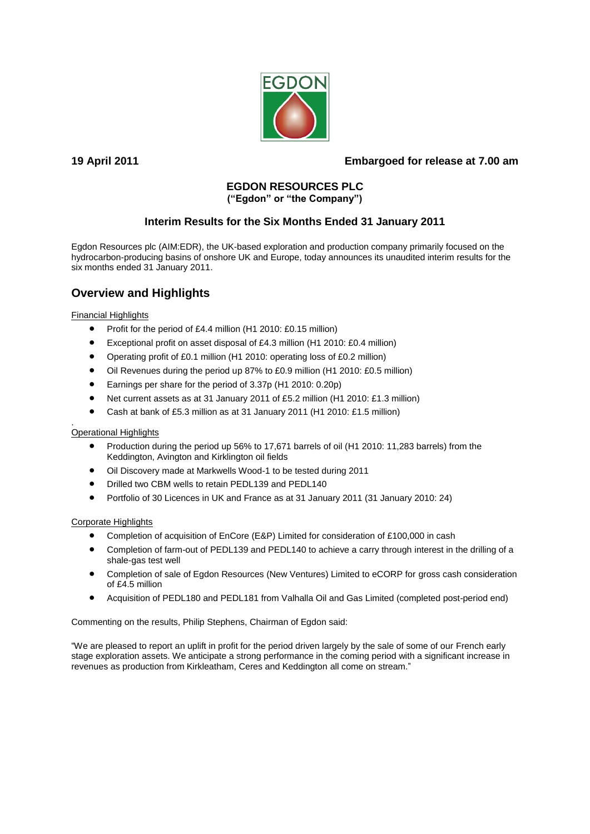

# **19 April 2011 Embargoed for release at 7.00 am**

# **EGDON RESOURCES PLC**

# **("Egdon" or "the Company")**

# **Interim Results for the Six Months Ended 31 January 2011**

Egdon Resources plc (AIM:EDR), the UK-based exploration and production company primarily focused on the hydrocarbon-producing basins of onshore UK and Europe, today announces its unaudited interim results for the six months ended 31 January 2011.

# **Overview and Highlights**

Financial Highlights

- Profit for the period of £4.4 million (H1 2010: £0.15 million)
- Exceptional profit on asset disposal of £4.3 million (H1 2010: £0.4 million)
- Operating profit of £0.1 million (H1 2010: operating loss of £0.2 million)
- Oil Revenues during the period up 87% to £0.9 million (H1 2010: £0.5 million)
- Earnings per share for the period of 3.37p (H1 2010: 0.20p)
- Net current assets as at 31 January 2011 of £5.2 million (H1 2010: £1.3 million)
- Cash at bank of £5.3 million as at 31 January 2011 (H1 2010: £1.5 million)

#### . Operational Highlights

- Production during the period up 56% to 17,671 barrels of oil (H1 2010: 11,283 barrels) from the Keddington, Avington and Kirklington oil fields
- Oil Discovery made at Markwells Wood-1 to be tested during 2011
- $\bullet$  Drilled two CBM wells to retain PEDL139 and PEDL140
- Portfolio of 30 Licences in UK and France as at 31 January 2011 (31 January 2010: 24)

# Corporate Highlights

- Completion of acquisition of EnCore (E&P) Limited for consideration of £100,000 in cash
- Completion of farm-out of PEDL139 and PEDL140 to achieve a carry through interest in the drilling of a shale-gas test well
- Completion of sale of Egdon Resources (New Ventures) Limited to eCORP for gross cash consideration of £4.5 million
- Acquisition of PEDL180 and PEDL181 from Valhalla Oil and Gas Limited (completed post-period end)

Commenting on the results, Philip Stephens, Chairman of Egdon said:

"We are pleased to report an uplift in profit for the period driven largely by the sale of some of our French early stage exploration assets. We anticipate a strong performance in the coming period with a significant increase in revenues as production from Kirkleatham, Ceres and Keddington all come on stream."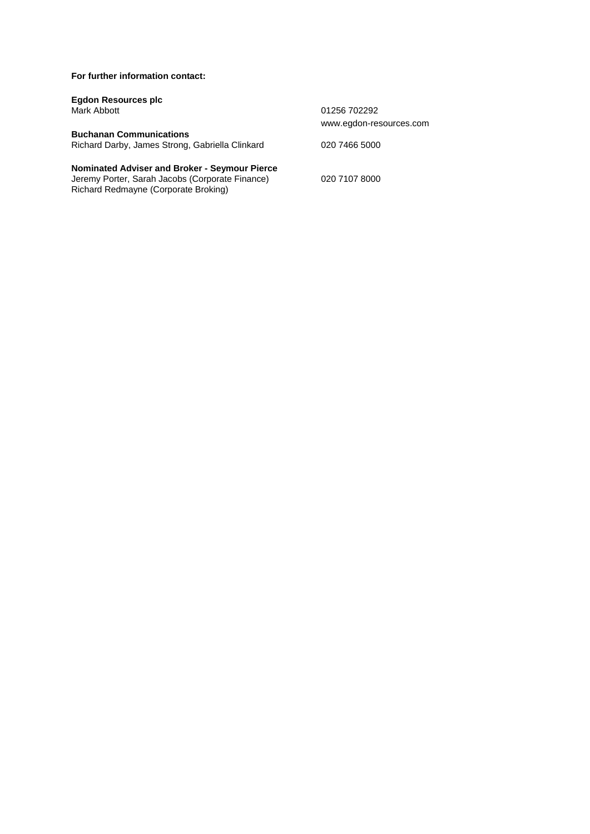**For further information contact:**

Richard Redmayne (Corporate Broking)

| <b>Egdon Resources plc</b>                           |                         |
|------------------------------------------------------|-------------------------|
| Mark Abbott                                          | 01256 702292            |
|                                                      | www.egdon-resources.com |
| <b>Buchanan Communications</b>                       |                         |
| Richard Darby, James Strong, Gabriella Clinkard      | 020 7466 5000           |
| <b>Nominated Adviser and Broker - Seymour Pierce</b> |                         |
| Jeremy Porter, Sarah Jacobs (Corporate Finance)      | 020 7107 8000           |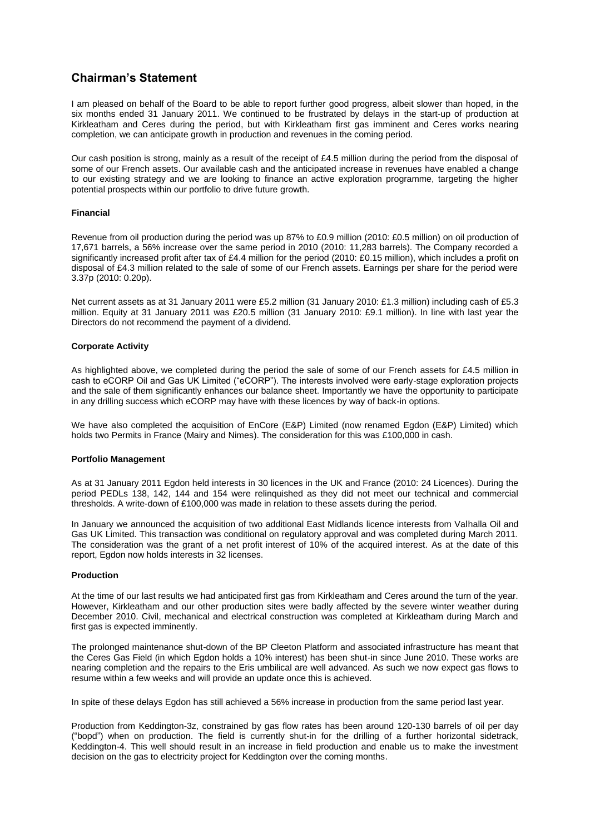# **Chairman's Statement**

I am pleased on behalf of the Board to be able to report further good progress, albeit slower than hoped, in the six months ended 31 January 2011. We continued to be frustrated by delays in the start-up of production at Kirkleatham and Ceres during the period, but with Kirkleatham first gas imminent and Ceres works nearing completion, we can anticipate growth in production and revenues in the coming period.

Our cash position is strong, mainly as a result of the receipt of £4.5 million during the period from the disposal of some of our French assets. Our available cash and the anticipated increase in revenues have enabled a change to our existing strategy and we are looking to finance an active exploration programme, targeting the higher potential prospects within our portfolio to drive future growth.

#### **Financial**

Revenue from oil production during the period was up 87% to £0.9 million (2010: £0.5 million) on oil production of 17,671 barrels, a 56% increase over the same period in 2010 (2010: 11,283 barrels). The Company recorded a significantly increased profit after tax of £4.4 million for the period (2010: £0.15 million), which includes a profit on disposal of £4.3 million related to the sale of some of our French assets. Earnings per share for the period were 3.37p (2010: 0.20p).

Net current assets as at 31 January 2011 were £5.2 million (31 January 2010: £1.3 million) including cash of £5.3 million. Equity at 31 January 2011 was £20.5 million (31 January 2010: £9.1 million). In line with last year the Directors do not recommend the payment of a dividend.

### **Corporate Activity**

As highlighted above, we completed during the period the sale of some of our French assets for £4.5 million in cash to eCORP Oil and Gas UK Limited ("eCORP"). The interests involved were early-stage exploration projects and the sale of them significantly enhances our balance sheet. Importantly we have the opportunity to participate in any drilling success which eCORP may have with these licences by way of back-in options.

We have also completed the acquisition of EnCore (E&P) Limited (now renamed Egdon (E&P) Limited) which holds two Permits in France (Mairy and Nimes). The consideration for this was £100,000 in cash.

#### **Portfolio Management**

As at 31 January 2011 Egdon held interests in 30 licences in the UK and France (2010: 24 Licences). During the period PEDLs 138, 142, 144 and 154 were relinquished as they did not meet our technical and commercial thresholds. A write-down of £100,000 was made in relation to these assets during the period.

In January we announced the acquisition of two additional East Midlands licence interests from Valhalla Oil and Gas UK Limited. This transaction was conditional on regulatory approval and was completed during March 2011. The consideration was the grant of a net profit interest of 10% of the acquired interest. As at the date of this report, Egdon now holds interests in 32 licenses.

#### **Production**

At the time of our last results we had anticipated first gas from Kirkleatham and Ceres around the turn of the year. However, Kirkleatham and our other production sites were badly affected by the severe winter weather during December 2010. Civil, mechanical and electrical construction was completed at Kirkleatham during March and first gas is expected imminently.

The prolonged maintenance shut-down of the BP Cleeton Platform and associated infrastructure has meant that the Ceres Gas Field (in which Egdon holds a 10% interest) has been shut-in since June 2010. These works are nearing completion and the repairs to the Eris umbilical are well advanced. As such we now expect gas flows to resume within a few weeks and will provide an update once this is achieved.

In spite of these delays Egdon has still achieved a 56% increase in production from the same period last year.

Production from Keddington-3z, constrained by gas flow rates has been around 120-130 barrels of oil per day ("bopd") when on production. The field is currently shut-in for the drilling of a further horizontal sidetrack, Keddington-4. This well should result in an increase in field production and enable us to make the investment decision on the gas to electricity project for Keddington over the coming months.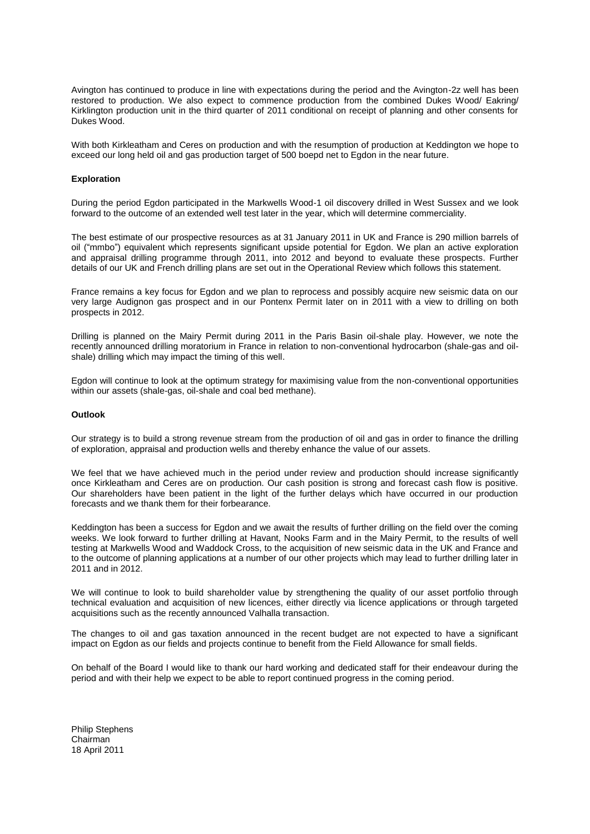Avington has continued to produce in line with expectations during the period and the Avington-2z well has been restored to production. We also expect to commence production from the combined Dukes Wood/ Eakring/ Kirklington production unit in the third quarter of 2011 conditional on receipt of planning and other consents for Dukes Wood.

With both Kirkleatham and Ceres on production and with the resumption of production at Keddington we hope to exceed our long held oil and gas production target of 500 boepd net to Egdon in the near future.

#### **Exploration**

During the period Egdon participated in the Markwells Wood-1 oil discovery drilled in West Sussex and we look forward to the outcome of an extended well test later in the year, which will determine commerciality.

The best estimate of our prospective resources as at 31 January 2011 in UK and France is 290 million barrels of oil ("mmbo") equivalent which represents significant upside potential for Egdon. We plan an active exploration and appraisal drilling programme through 2011, into 2012 and beyond to evaluate these prospects. Further details of our UK and French drilling plans are set out in the Operational Review which follows this statement.

France remains a key focus for Egdon and we plan to reprocess and possibly acquire new seismic data on our very large Audignon gas prospect and in our Pontenx Permit later on in 2011 with a view to drilling on both prospects in 2012.

Drilling is planned on the Mairy Permit during 2011 in the Paris Basin oil-shale play. However, we note the recently announced drilling moratorium in France in relation to non-conventional hydrocarbon (shale-gas and oilshale) drilling which may impact the timing of this well.

Egdon will continue to look at the optimum strategy for maximising value from the non-conventional opportunities within our assets (shale-gas, oil-shale and coal bed methane).

#### **Outlook**

Our strategy is to build a strong revenue stream from the production of oil and gas in order to finance the drilling of exploration, appraisal and production wells and thereby enhance the value of our assets.

We feel that we have achieved much in the period under review and production should increase significantly once Kirkleatham and Ceres are on production. Our cash position is strong and forecast cash flow is positive. Our shareholders have been patient in the light of the further delays which have occurred in our production forecasts and we thank them for their forbearance.

Keddington has been a success for Egdon and we await the results of further drilling on the field over the coming weeks. We look forward to further drilling at Havant, Nooks Farm and in the Mairy Permit, to the results of well testing at Markwells Wood and Waddock Cross, to the acquisition of new seismic data in the UK and France and to the outcome of planning applications at a number of our other projects which may lead to further drilling later in 2011 and in 2012.

We will continue to look to build shareholder value by strengthening the quality of our asset portfolio through technical evaluation and acquisition of new licences, either directly via licence applications or through targeted acquisitions such as the recently announced Valhalla transaction.

The changes to oil and gas taxation announced in the recent budget are not expected to have a significant impact on Egdon as our fields and projects continue to benefit from the Field Allowance for small fields.

On behalf of the Board I would like to thank our hard working and dedicated staff for their endeavour during the period and with their help we expect to be able to report continued progress in the coming period.

Philip Stephens Chairman 18 April 2011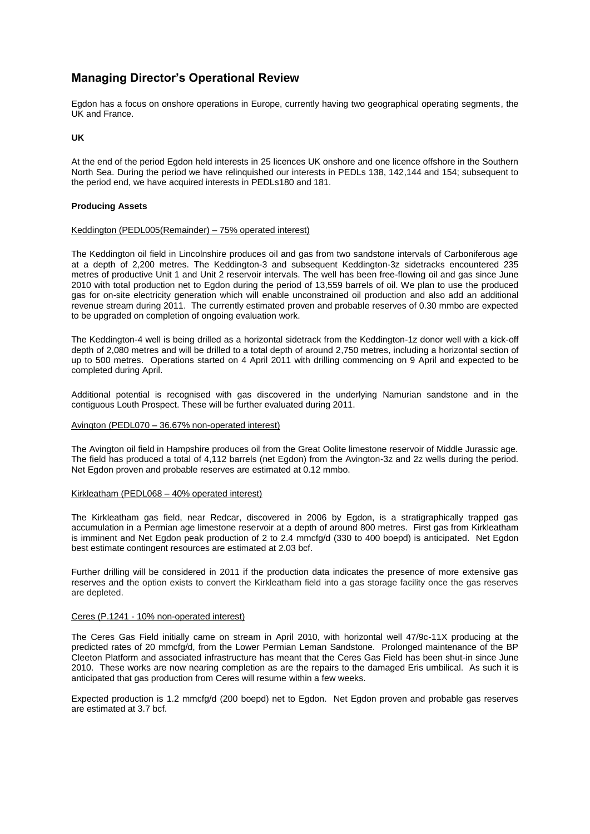# **Managing Director's Operational Review**

Egdon has a focus on onshore operations in Europe, currently having two geographical operating segments, the UK and France.

**UK**

At the end of the period Egdon held interests in 25 licences UK onshore and one licence offshore in the Southern North Sea. During the period we have relinquished our interests in PEDLs 138, 142,144 and 154; subsequent to the period end, we have acquired interests in PEDLs180 and 181.

#### **Producing Assets**

### Keddington (PEDL005(Remainder) – 75% operated interest)

The Keddington oil field in Lincolnshire produces oil and gas from two sandstone intervals of Carboniferous age at a depth of 2,200 metres. The Keddington-3 and subsequent Keddington-3z sidetracks encountered 235 metres of productive Unit 1 and Unit 2 reservoir intervals. The well has been free-flowing oil and gas since June 2010 with total production net to Egdon during the period of 13,559 barrels of oil. We plan to use the produced gas for on-site electricity generation which will enable unconstrained oil production and also add an additional revenue stream during 2011. The currently estimated proven and probable reserves of 0.30 mmbo are expected to be upgraded on completion of ongoing evaluation work.

The Keddington-4 well is being drilled as a horizontal sidetrack from the Keddington-1z donor well with a kick-off depth of 2,080 metres and will be drilled to a total depth of around 2,750 metres, including a horizontal section of up to 500 metres. Operations started on 4 April 2011 with drilling commencing on 9 April and expected to be completed during April.

Additional potential is recognised with gas discovered in the underlying Namurian sandstone and in the contiguous Louth Prospect. These will be further evaluated during 2011.

#### Avington (PEDL070 – 36.67% non-operated interest)

The Avington oil field in Hampshire produces oil from the Great Oolite limestone reservoir of Middle Jurassic age. The field has produced a total of 4,112 barrels (net Egdon) from the Avington-3z and 2z wells during the period. Net Egdon proven and probable reserves are estimated at 0.12 mmbo.

#### Kirkleatham (PEDL068 – 40% operated interest)

The Kirkleatham gas field, near Redcar, discovered in 2006 by Egdon, is a stratigraphically trapped gas accumulation in a Permian age limestone reservoir at a depth of around 800 metres. First gas from Kirkleatham is imminent and Net Egdon peak production of 2 to 2.4 mmcfg/d (330 to 400 boepd) is anticipated. Net Egdon best estimate contingent resources are estimated at 2.03 bcf.

Further drilling will be considered in 2011 if the production data indicates the presence of more extensive gas reserves and the option exists to convert the Kirkleatham field into a gas storage facility once the gas reserves are depleted.

#### Ceres (P.1241 - 10% non-operated interest)

The Ceres Gas Field initially came on stream in April 2010, with horizontal well 47/9c-11X producing at the predicted rates of 20 mmcfg/d, from the Lower Permian Leman Sandstone. Prolonged maintenance of the BP Cleeton Platform and associated infrastructure has meant that the Ceres Gas Field has been shut-in since June 2010. These works are now nearing completion as are the repairs to the damaged Eris umbilical. As such it is anticipated that gas production from Ceres will resume within a few weeks.

Expected production is 1.2 mmcfg/d (200 boepd) net to Egdon. Net Egdon proven and probable gas reserves are estimated at 3.7 bcf.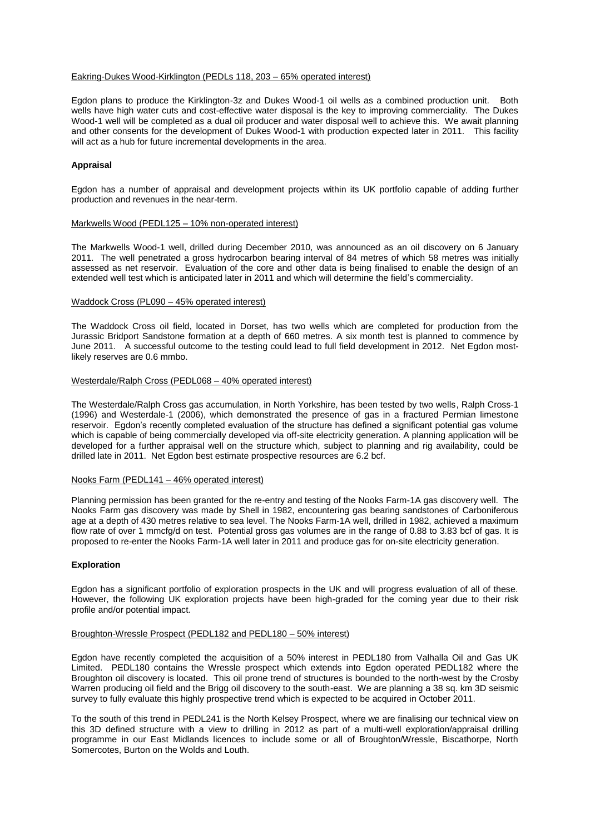#### Eakring-Dukes Wood-Kirklington (PEDLs 118, 203 – 65% operated interest)

Egdon plans to produce the Kirklington-3z and Dukes Wood-1 oil wells as a combined production unit. Both wells have high water cuts and cost-effective water disposal is the key to improving commerciality. The Dukes Wood-1 well will be completed as a dual oil producer and water disposal well to achieve this. We await planning and other consents for the development of Dukes Wood-1 with production expected later in 2011. This facility will act as a hub for future incremental developments in the area.

#### **Appraisal**

Egdon has a number of appraisal and development projects within its UK portfolio capable of adding further production and revenues in the near-term.

### Markwells Wood (PEDL125 – 10% non-operated interest)

The Markwells Wood-1 well, drilled during December 2010, was announced as an oil discovery on 6 January 2011. The well penetrated a gross hydrocarbon bearing interval of 84 metres of which 58 metres was initially assessed as net reservoir. Evaluation of the core and other data is being finalised to enable the design of an extended well test which is anticipated later in 2011 and which will determine the field"s commerciality.

#### Waddock Cross (PL090 – 45% operated interest)

The Waddock Cross oil field, located in Dorset, has two wells which are completed for production from the Jurassic Bridport Sandstone formation at a depth of 660 metres. A six month test is planned to commence by June 2011. A successful outcome to the testing could lead to full field development in 2012. Net Egdon mostlikely reserves are 0.6 mmbo.

#### Westerdale/Ralph Cross (PEDL068 – 40% operated interest)

The Westerdale/Ralph Cross gas accumulation, in North Yorkshire, has been tested by two wells, Ralph Cross-1 (1996) and Westerdale-1 (2006), which demonstrated the presence of gas in a fractured Permian limestone reservoir. Egdon"s recently completed evaluation of the structure has defined a significant potential gas volume which is capable of being commercially developed via off-site electricity generation. A planning application will be developed for a further appraisal well on the structure which, subject to planning and rig availability, could be drilled late in 2011. Net Egdon best estimate prospective resources are 6.2 bcf.

#### Nooks Farm (PEDL141 – 46% operated interest)

Planning permission has been granted for the re-entry and testing of the Nooks Farm-1A gas discovery well. The Nooks Farm gas discovery was made by Shell in 1982, encountering gas bearing sandstones of Carboniferous age at a depth of 430 metres relative to sea level. The Nooks Farm-1A well, drilled in 1982, achieved a maximum flow rate of over 1 mmcfg/d on test. Potential gross gas volumes are in the range of 0.88 to 3.83 bcf of gas. It is proposed to re-enter the Nooks Farm-1A well later in 2011 and produce gas for on-site electricity generation.

#### **Exploration**

Egdon has a significant portfolio of exploration prospects in the UK and will progress evaluation of all of these. However, the following UK exploration projects have been high-graded for the coming year due to their risk profile and/or potential impact.

#### Broughton-Wressle Prospect (PEDL182 and PEDL180 – 50% interest)

Egdon have recently completed the acquisition of a 50% interest in PEDL180 from Valhalla Oil and Gas UK Limited. PEDL180 contains the Wressle prospect which extends into Egdon operated PEDL182 where the Broughton oil discovery is located. This oil prone trend of structures is bounded to the north-west by the Crosby Warren producing oil field and the Brigg oil discovery to the south-east. We are planning a 38 sq. km 3D seismic survey to fully evaluate this highly prospective trend which is expected to be acquired in October 2011.

To the south of this trend in PEDL241 is the North Kelsey Prospect, where we are finalising our technical view on this 3D defined structure with a view to drilling in 2012 as part of a multi-well exploration/appraisal drilling programme in our East Midlands licences to include some or all of Broughton/Wressle, Biscathorpe, North Somercotes, Burton on the Wolds and Louth.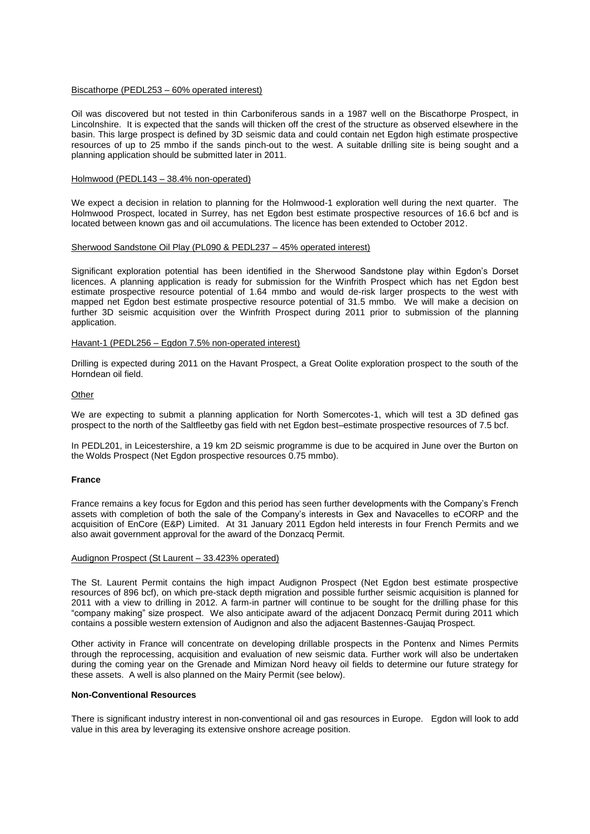#### Biscathorpe (PEDL253 – 60% operated interest)

Oil was discovered but not tested in thin Carboniferous sands in a 1987 well on the Biscathorpe Prospect, in Lincolnshire. It is expected that the sands will thicken off the crest of the structure as observed elsewhere in the basin. This large prospect is defined by 3D seismic data and could contain net Egdon high estimate prospective resources of up to 25 mmbo if the sands pinch-out to the west. A suitable drilling site is being sought and a planning application should be submitted later in 2011.

#### Holmwood (PEDL143 – 38.4% non-operated)

We expect a decision in relation to planning for the Holmwood-1 exploration well during the next quarter. The Holmwood Prospect, located in Surrey, has net Egdon best estimate prospective resources of 16.6 bcf and is located between known gas and oil accumulations. The licence has been extended to October 2012.

#### Sherwood Sandstone Oil Play (PL090 & PEDL237 – 45% operated interest)

Significant exploration potential has been identified in the Sherwood Sandstone play within Egdon"s Dorset licences. A planning application is ready for submission for the Winfrith Prospect which has net Egdon best estimate prospective resource potential of 1.64 mmbo and would de-risk larger prospects to the west with mapped net Egdon best estimate prospective resource potential of 31.5 mmbo. We will make a decision on further 3D seismic acquisition over the Winfrith Prospect during 2011 prior to submission of the planning application.

#### Havant-1 (PEDL256 – Egdon 7.5% non-operated interest)

Drilling is expected during 2011 on the Havant Prospect, a Great Oolite exploration prospect to the south of the Horndean oil field.

#### **Other**

We are expecting to submit a planning application for North Somercotes-1, which will test a 3D defined gas prospect to the north of the Saltfleetby gas field with net Egdon best–estimate prospective resources of 7.5 bcf.

In PEDL201, in Leicestershire, a 19 km 2D seismic programme is due to be acquired in June over the Burton on the Wolds Prospect (Net Egdon prospective resources 0.75 mmbo).

#### **France**

France remains a key focus for Egdon and this period has seen further developments with the Company"s French assets with completion of both the sale of the Company's interests in Gex and Navacelles to eCORP and the acquisition of EnCore (E&P) Limited. At 31 January 2011 Egdon held interests in four French Permits and we also await government approval for the award of the Donzacq Permit.

#### Audignon Prospect (St Laurent – 33.423% operated)

The St. Laurent Permit contains the high impact Audignon Prospect (Net Egdon best estimate prospective resources of 896 bcf), on which pre-stack depth migration and possible further seismic acquisition is planned for 2011 with a view to drilling in 2012. A farm-in partner will continue to be sought for the drilling phase for this "company making" size prospect. We also anticipate award of the adjacent Donzacq Permit during 2011 which contains a possible western extension of Audignon and also the adjacent Bastennes-Gaujaq Prospect.

Other activity in France will concentrate on developing drillable prospects in the Pontenx and Nimes Permits through the reprocessing, acquisition and evaluation of new seismic data. Further work will also be undertaken during the coming year on the Grenade and Mimizan Nord heavy oil fields to determine our future strategy for these assets. A well is also planned on the Mairy Permit (see below).

#### **Non-Conventional Resources**

There is significant industry interest in non-conventional oil and gas resources in Europe. Egdon will look to add value in this area by leveraging its extensive onshore acreage position.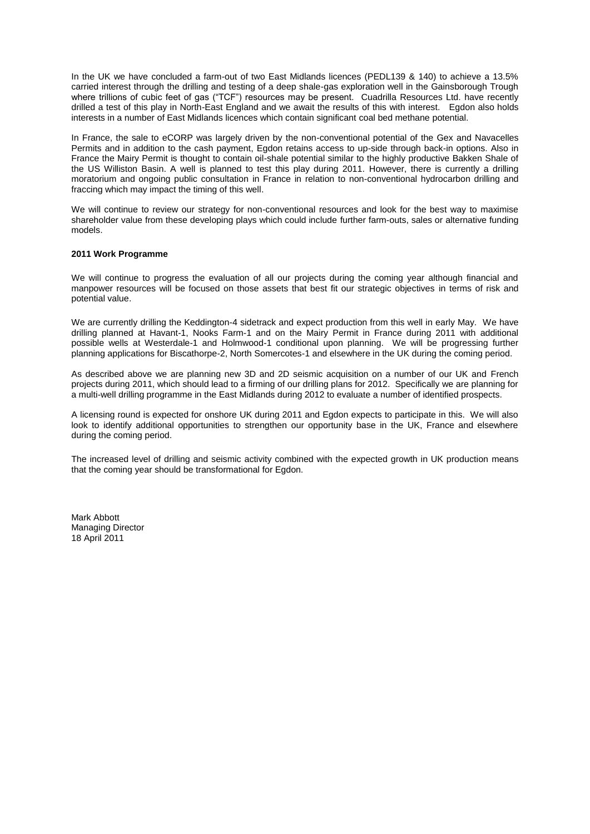In the UK we have concluded a farm-out of two East Midlands licences (PEDL139 & 140) to achieve a 13.5% carried interest through the drilling and testing of a deep shale-gas exploration well in the Gainsborough Trough where trillions of cubic feet of gas ("TCF") resources may be present. Cuadrilla Resources Ltd. have recently drilled a test of this play in North-East England and we await the results of this with interest. Egdon also holds interests in a number of East Midlands licences which contain significant coal bed methane potential.

In France, the sale to eCORP was largely driven by the non-conventional potential of the Gex and Navacelles Permits and in addition to the cash payment, Egdon retains access to up-side through back-in options. Also in France the Mairy Permit is thought to contain oil-shale potential similar to the highly productive Bakken Shale of the US Williston Basin. A well is planned to test this play during 2011. However, there is currently a drilling moratorium and ongoing public consultation in France in relation to non-conventional hydrocarbon drilling and fraccing which may impact the timing of this well.

We will continue to review our strategy for non-conventional resources and look for the best way to maximise shareholder value from these developing plays which could include further farm-outs, sales or alternative funding models.

### **2011 Work Programme**

We will continue to progress the evaluation of all our projects during the coming year although financial and manpower resources will be focused on those assets that best fit our strategic objectives in terms of risk and potential value.

We are currently drilling the Keddington-4 sidetrack and expect production from this well in early May. We have drilling planned at Havant-1, Nooks Farm-1 and on the Mairy Permit in France during 2011 with additional possible wells at Westerdale-1 and Holmwood-1 conditional upon planning. We will be progressing further planning applications for Biscathorpe-2, North Somercotes-1 and elsewhere in the UK during the coming period.

As described above we are planning new 3D and 2D seismic acquisition on a number of our UK and French projects during 2011, which should lead to a firming of our drilling plans for 2012. Specifically we are planning for a multi-well drilling programme in the East Midlands during 2012 to evaluate a number of identified prospects.

A licensing round is expected for onshore UK during 2011 and Egdon expects to participate in this. We will also look to identify additional opportunities to strengthen our opportunity base in the UK, France and elsewhere during the coming period.

The increased level of drilling and seismic activity combined with the expected growth in UK production means that the coming year should be transformational for Egdon.

Mark Abbott Managing Director 18 April 2011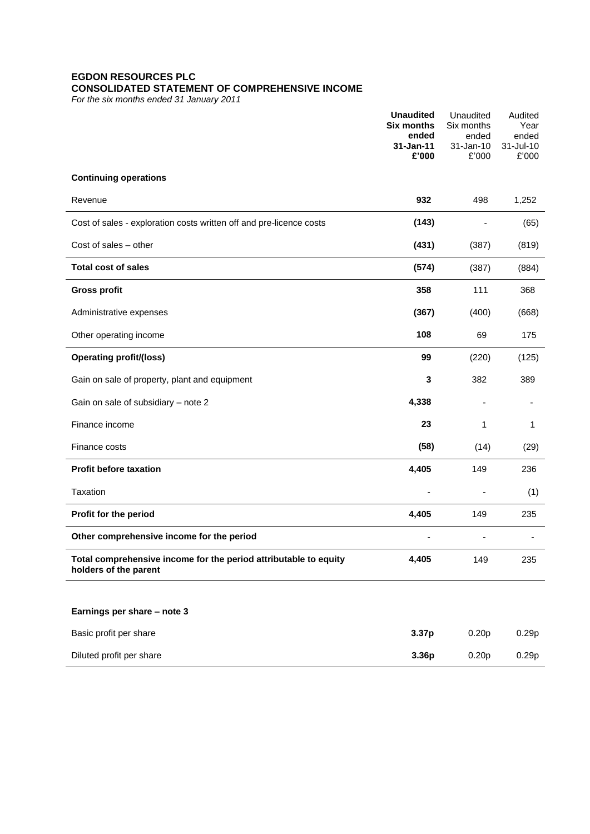# **EGDON RESOURCES PLC CONSOLIDATED STATEMENT OF COMPREHENSIVE INCOME**

*For the six months ended 31 January 2011*

|                                                                                           | <b>Unaudited</b><br><b>Six months</b><br>ended<br>31-Jan-11<br>£'000 | Unaudited<br>Six months<br>ended<br>31-Jan-10<br>£'000 | Audited<br>Year<br>ended<br>31-Jul-10<br>£'000 |
|-------------------------------------------------------------------------------------------|----------------------------------------------------------------------|--------------------------------------------------------|------------------------------------------------|
| <b>Continuing operations</b>                                                              |                                                                      |                                                        |                                                |
| Revenue                                                                                   | 932                                                                  | 498                                                    | 1,252                                          |
| Cost of sales - exploration costs written off and pre-licence costs                       | (143)                                                                |                                                        | (65)                                           |
| Cost of sales - other                                                                     | (431)                                                                | (387)                                                  | (819)                                          |
| <b>Total cost of sales</b>                                                                | (574)                                                                | (387)                                                  | (884)                                          |
| <b>Gross profit</b>                                                                       | 358                                                                  | 111                                                    | 368                                            |
| Administrative expenses                                                                   | (367)                                                                | (400)                                                  | (668)                                          |
| Other operating income                                                                    | 108                                                                  | 69                                                     | 175                                            |
| <b>Operating profit/(loss)</b>                                                            | 99                                                                   | (220)                                                  | (125)                                          |
| Gain on sale of property, plant and equipment                                             | 3                                                                    | 382                                                    | 389                                            |
| Gain on sale of subsidiary - note 2                                                       | 4,338                                                                |                                                        |                                                |
| Finance income                                                                            | 23                                                                   | 1                                                      | 1                                              |
| Finance costs                                                                             | (58)                                                                 | (14)                                                   | (29)                                           |
| <b>Profit before taxation</b>                                                             | 4,405                                                                | 149                                                    | 236                                            |
| Taxation                                                                                  |                                                                      |                                                        | (1)                                            |
| Profit for the period                                                                     | 4,405                                                                | 149                                                    | 235                                            |
| Other comprehensive income for the period                                                 |                                                                      |                                                        |                                                |
| Total comprehensive income for the period attributable to equity<br>holders of the parent | 4,405                                                                | 149                                                    | 235                                            |
| Earnings per share - note 3                                                               |                                                                      |                                                        |                                                |
| Basic profit per share                                                                    | 3.37p                                                                | 0.20 <sub>p</sub>                                      | 0.29p                                          |
| Diluted profit per share                                                                  | 3.36p                                                                | 0.20 <sub>p</sub>                                      | 0.29p                                          |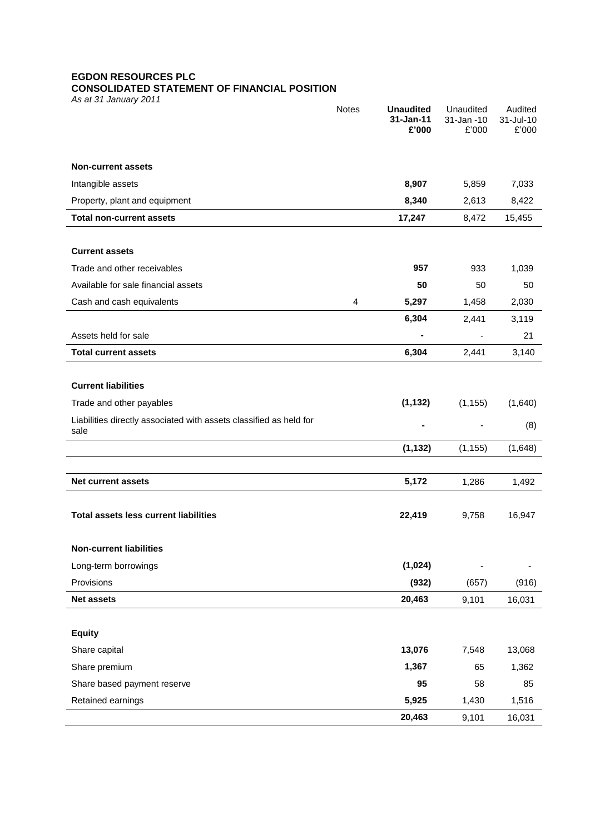# **EGDON RESOURCES PLC**

# **CONSOLIDATED STATEMENT OF FINANCIAL POSITION**

*As at 31 January 2011*

|                                                                            | <b>Notes</b> | <b>Unaudited</b><br>31-Jan-11 | Unaudited<br>31-Jan -10 | Audited<br>31-Jul-10 |
|----------------------------------------------------------------------------|--------------|-------------------------------|-------------------------|----------------------|
|                                                                            |              | £'000                         | £'000                   | £'000                |
| <b>Non-current assets</b>                                                  |              |                               |                         |                      |
| Intangible assets                                                          |              | 8,907                         | 5,859                   | 7,033                |
| Property, plant and equipment                                              |              | 8,340                         | 2,613                   | 8,422                |
| <b>Total non-current assets</b>                                            |              | 17,247                        | 8,472                   | 15,455               |
|                                                                            |              |                               |                         |                      |
| <b>Current assets</b>                                                      |              |                               |                         |                      |
| Trade and other receivables                                                |              | 957                           | 933                     | 1,039                |
| Available for sale financial assets                                        |              | 50                            | 50                      | 50                   |
| Cash and cash equivalents                                                  | 4            | 5,297                         | 1,458                   | 2,030                |
|                                                                            |              | 6,304                         | 2,441                   | 3,119                |
| Assets held for sale                                                       |              |                               |                         | 21                   |
| <b>Total current assets</b>                                                |              | 6,304                         | 2,441                   | 3,140                |
|                                                                            |              |                               |                         |                      |
| <b>Current liabilities</b>                                                 |              |                               |                         |                      |
| Trade and other payables                                                   |              | (1, 132)                      | (1, 155)                | (1,640)              |
| Liabilities directly associated with assets classified as held for<br>sale |              |                               |                         | (8)                  |
|                                                                            |              | (1, 132)                      | (1, 155)                | (1,648)              |
|                                                                            |              |                               |                         |                      |
| <b>Net current assets</b>                                                  |              | 5,172                         | 1,286                   | 1,492                |
|                                                                            |              |                               |                         |                      |
| <b>Total assets less current liabilities</b>                               |              | 22,419                        | 9,758                   | 16,947               |
|                                                                            |              |                               |                         |                      |
| <b>Non-current liabilities</b>                                             |              |                               |                         |                      |
| Long-term borrowings                                                       |              | (1,024)                       |                         |                      |
| Provisions                                                                 |              | (932)                         | (657)                   | (916)                |
| <b>Net assets</b>                                                          |              | 20,463                        | 9,101                   | 16,031               |
|                                                                            |              |                               |                         |                      |
| <b>Equity</b><br>Share capital                                             |              | 13,076                        |                         |                      |
| Share premium                                                              |              | 1,367                         | 7,548<br>65             | 13,068<br>1,362      |
| Share based payment reserve                                                |              | 95                            | 58                      | 85                   |
| Retained earnings                                                          |              | 5,925                         | 1,430                   | 1,516                |
|                                                                            |              | 20,463                        | 9,101                   | 16,031               |
|                                                                            |              |                               |                         |                      |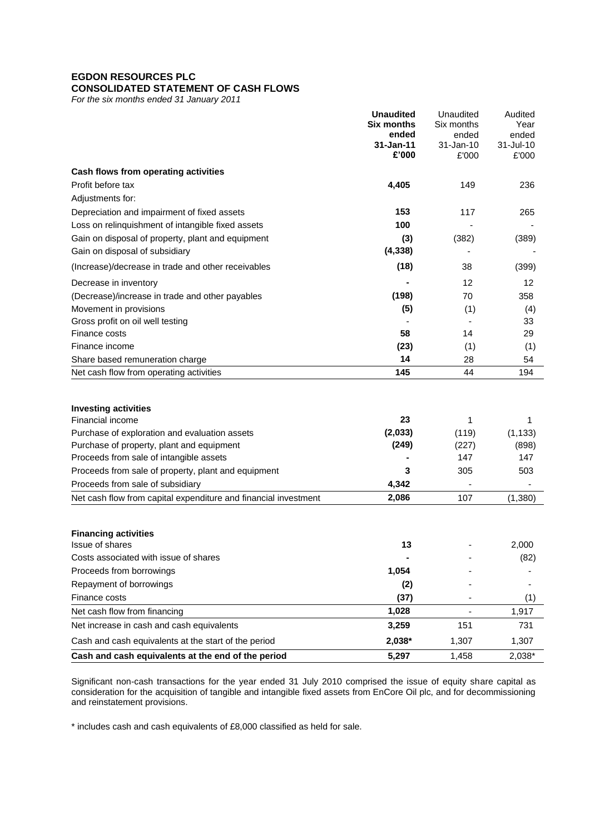# **EGDON RESOURCES PLC**

# **CONSOLIDATED STATEMENT OF CASH FLOWS**

*For the six months ended 31 January 2011*

|                                                                 | <b>Unaudited</b><br><b>Six months</b><br>ended<br>31-Jan-11 | Unaudited<br>Six months<br>ended<br>31-Jan-10 | Audited<br>Year<br>ended<br>31-Jul-10 |
|-----------------------------------------------------------------|-------------------------------------------------------------|-----------------------------------------------|---------------------------------------|
|                                                                 | £'000                                                       | £'000                                         | £'000                                 |
| Cash flows from operating activities                            |                                                             |                                               |                                       |
| Profit before tax                                               | 4,405                                                       | 149                                           | 236                                   |
| Adjustments for:                                                |                                                             |                                               |                                       |
| Depreciation and impairment of fixed assets                     | 153                                                         | 117                                           | 265                                   |
| Loss on relinquishment of intangible fixed assets               | 100                                                         |                                               |                                       |
| Gain on disposal of property, plant and equipment               | (3)                                                         | (382)                                         | (389)                                 |
| Gain on disposal of subsidiary                                  | (4, 338)                                                    |                                               |                                       |
| (Increase)/decrease in trade and other receivables              | (18)                                                        | 38                                            | (399)                                 |
| Decrease in inventory                                           |                                                             | 12                                            | 12                                    |
| (Decrease)/increase in trade and other payables                 | (198)                                                       | 70                                            | 358                                   |
| Movement in provisions                                          | (5)                                                         | (1)                                           | (4)                                   |
| Gross profit on oil well testing                                |                                                             |                                               | 33                                    |
| Finance costs                                                   | 58                                                          | 14                                            | 29                                    |
| Finance income                                                  | (23)                                                        | (1)                                           | (1)                                   |
| Share based remuneration charge                                 | 14                                                          | 28                                            | 54                                    |
| Net cash flow from operating activities                         | 145                                                         | 44                                            | 194                                   |
| <b>Investing activities</b>                                     |                                                             |                                               |                                       |
| Financial income                                                | 23                                                          | 1                                             | 1                                     |
| Purchase of exploration and evaluation assets                   | (2,033)                                                     | (119)                                         | (1, 133)                              |
| Purchase of property, plant and equipment                       | (249)                                                       | (227)                                         | (898)                                 |
| Proceeds from sale of intangible assets                         |                                                             | 147                                           | 147                                   |
| Proceeds from sale of property, plant and equipment             | 3                                                           | 305                                           | 503                                   |
| Proceeds from sale of subsidiary                                | 4,342                                                       |                                               |                                       |
| Net cash flow from capital expenditure and financial investment | 2,086                                                       | 107                                           | (1, 380)                              |
|                                                                 |                                                             |                                               |                                       |
| <b>Financing activities</b><br><b>Issue of shares</b>           | 13                                                          |                                               | 2,000                                 |
| Costs associated with issue of shares                           |                                                             |                                               | (82)                                  |
| Proceeds from borrowings                                        | 1,054                                                       |                                               |                                       |
| Repayment of borrowings                                         | (2)                                                         |                                               |                                       |
| Finance costs                                                   | (37)                                                        |                                               | (1)                                   |
| Net cash flow from financing                                    | 1,028                                                       |                                               | 1,917                                 |
| Net increase in cash and cash equivalents                       | 3,259                                                       | 151                                           | 731                                   |
| Cash and cash equivalents at the start of the period            | 2,038*                                                      | 1,307                                         | 1,307                                 |
| Cash and cash equivalents at the end of the period              | 5,297                                                       | 1,458                                         | 2,038*                                |

Significant non-cash transactions for the year ended 31 July 2010 comprised the issue of equity share capital as consideration for the acquisition of tangible and intangible fixed assets from EnCore Oil plc, and for decommissioning and reinstatement provisions.

\* includes cash and cash equivalents of £8,000 classified as held for sale.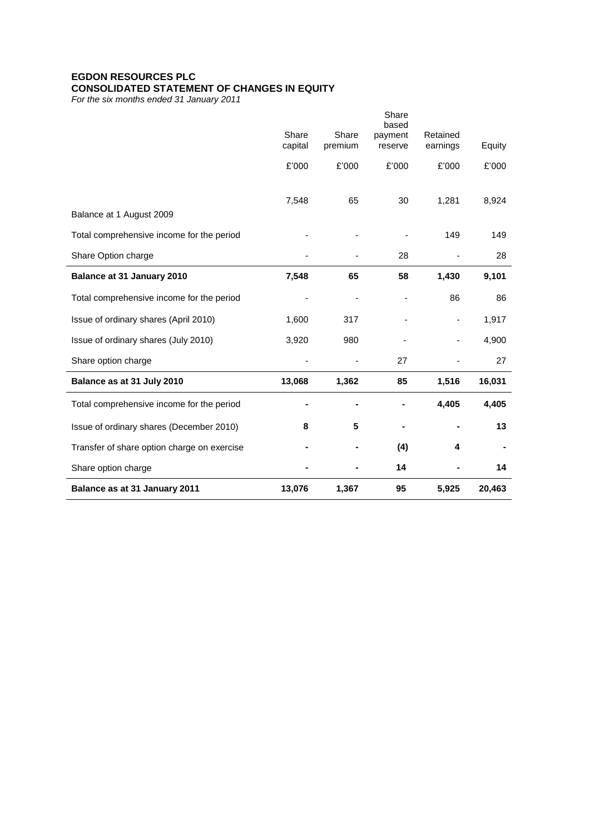# **EGDON RESOURCES PLC CONSOLIDATED STATEMENT OF CHANGES IN EQUITY**

*For the six months ended 31 January 2011*

|                                             |                  |                          | Share<br>based           |                      |        |
|---------------------------------------------|------------------|--------------------------|--------------------------|----------------------|--------|
|                                             | Share<br>capital | Share<br>premium         | payment<br>reserve       | Retained<br>earnings | Equity |
|                                             |                  |                          |                          |                      |        |
|                                             | £'000            | £'000                    | £'000                    | £'000                | £'000  |
|                                             | 7,548            | 65                       | 30                       | 1,281                | 8,924  |
| Balance at 1 August 2009                    |                  |                          |                          |                      |        |
| Total comprehensive income for the period   |                  |                          |                          | 149                  | 149    |
| Share Option charge                         |                  |                          | 28                       |                      | 28     |
| Balance at 31 January 2010                  | 7,548            | 65                       | 58                       | 1,430                | 9,101  |
| Total comprehensive income for the period   |                  | $\overline{\phantom{a}}$ | $\overline{\phantom{a}}$ | 86                   | 86     |
| Issue of ordinary shares (April 2010)       | 1,600            | 317                      |                          |                      | 1,917  |
| Issue of ordinary shares (July 2010)        | 3,920            | 980                      |                          |                      | 4,900  |
| Share option charge                         |                  |                          | 27                       |                      | 27     |
| Balance as at 31 July 2010                  | 13,068           | 1,362                    | 85                       | 1,516                | 16,031 |
| Total comprehensive income for the period   |                  |                          |                          | 4,405                | 4,405  |
| Issue of ordinary shares (December 2010)    | 8                | 5                        |                          |                      | 13     |
| Transfer of share option charge on exercise |                  |                          | (4)                      | 4                    |        |
| Share option charge                         |                  |                          | 14                       |                      | 14     |
| Balance as at 31 January 2011               | 13,076           | 1,367                    | 95                       | 5,925                | 20,463 |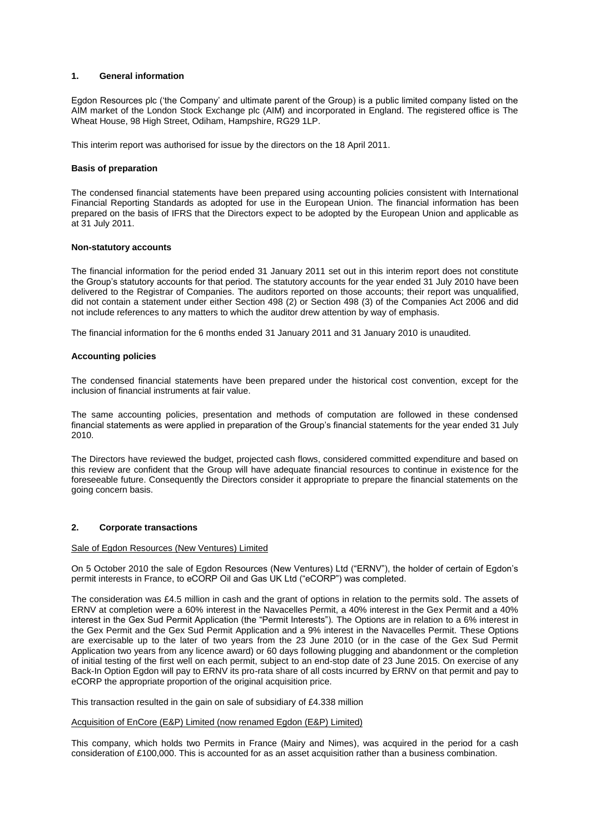### **1. General information**

Egdon Resources plc ("the Company" and ultimate parent of the Group) is a public limited company listed on the AIM market of the London Stock Exchange plc (AIM) and incorporated in England. The registered office is The Wheat House, 98 High Street, Odiham, Hampshire, RG29 1LP.

This interim report was authorised for issue by the directors on the 18 April 2011.

#### **Basis of preparation**

The condensed financial statements have been prepared using accounting policies consistent with International Financial Reporting Standards as adopted for use in the European Union. The financial information has been prepared on the basis of IFRS that the Directors expect to be adopted by the European Union and applicable as at 31 July 2011.

#### **Non-statutory accounts**

The financial information for the period ended 31 January 2011 set out in this interim report does not constitute the Group"s statutory accounts for that period. The statutory accounts for the year ended 31 July 2010 have been delivered to the Registrar of Companies. The auditors reported on those accounts; their report was unqualified, did not contain a statement under either Section 498 (2) or Section 498 (3) of the Companies Act 2006 and did not include references to any matters to which the auditor drew attention by way of emphasis.

The financial information for the 6 months ended 31 January 2011 and 31 January 2010 is unaudited.

#### **Accounting policies**

The condensed financial statements have been prepared under the historical cost convention, except for the inclusion of financial instruments at fair value.

The same accounting policies, presentation and methods of computation are followed in these condensed financial statements as were applied in preparation of the Group"s financial statements for the year ended 31 July 2010.

The Directors have reviewed the budget, projected cash flows, considered committed expenditure and based on this review are confident that the Group will have adequate financial resources to continue in existence for the foreseeable future. Consequently the Directors consider it appropriate to prepare the financial statements on the going concern basis.

### **2. Corporate transactions**

### Sale of Egdon Resources (New Ventures) Limited

On 5 October 2010 the sale of Egdon Resources (New Ventures) Ltd ("ERNV"), the holder of certain of Egdon"s permit interests in France, to eCORP Oil and Gas UK Ltd ("eCORP") was completed.

The consideration was £4.5 million in cash and the grant of options in relation to the permits sold. The assets of ERNV at completion were a 60% interest in the Navacelles Permit, a 40% interest in the Gex Permit and a 40% interest in the Gex Sud Permit Application (the "Permit Interests"). The Options are in relation to a 6% interest in the Gex Permit and the Gex Sud Permit Application and a 9% interest in the Navacelles Permit. These Options are exercisable up to the later of two years from the 23 June 2010 (or in the case of the Gex Sud Permit Application two years from any licence award) or 60 days following plugging and abandonment or the completion of initial testing of the first well on each permit, subject to an end-stop date of 23 June 2015. On exercise of any Back-In Option Egdon will pay to ERNV its pro-rata share of all costs incurred by ERNV on that permit and pay to eCORP the appropriate proportion of the original acquisition price.

This transaction resulted in the gain on sale of subsidiary of £4.338 million

#### Acquisition of EnCore (E&P) Limited (now renamed Egdon (E&P) Limited)

This company, which holds two Permits in France (Mairy and Nimes), was acquired in the period for a cash consideration of £100,000. This is accounted for as an asset acquisition rather than a business combination.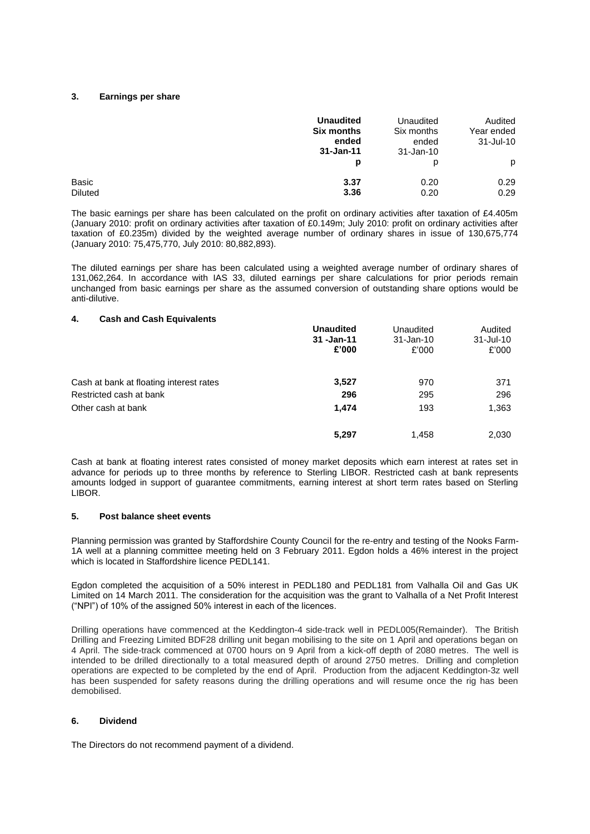### **3. Earnings per share**

|                         | <b>Unaudited</b><br><b>Six months</b><br>ended<br>$31 - Jan-11$ | Unaudited<br>Six months<br>ended<br>31-Jan-10 | Audited<br>Year ended<br>$31 -$ Jul $-10$ |
|-------------------------|-----------------------------------------------------------------|-----------------------------------------------|-------------------------------------------|
|                         | p                                                               | D                                             | p                                         |
| Basic<br><b>Diluted</b> | 3.37<br>3.36                                                    | 0.20<br>0.20                                  | 0.29<br>0.29                              |

The basic earnings per share has been calculated on the profit on ordinary activities after taxation of £4.405m (January 2010: profit on ordinary activities after taxation of £0.149m; July 2010: profit on ordinary activities after taxation of £0.235m) divided by the weighted average number of ordinary shares in issue of 130,675,774 (January 2010: 75,475,770, July 2010: 80,882,893).

The diluted earnings per share has been calculated using a weighted average number of ordinary shares of 131,062,264. In accordance with IAS 33, diluted earnings per share calculations for prior periods remain unchanged from basic earnings per share as the assumed conversion of outstanding share options would be anti-dilutive.

#### **4. Cash and Cash Equivalents**

|                                         | <b>Unaudited</b><br>31 - Jan - 11<br>£'000 | Unaudited<br>$31 - Jan-10$<br>£'000 | Audited<br>$31 -$ Jul-10<br>£'000 |
|-----------------------------------------|--------------------------------------------|-------------------------------------|-----------------------------------|
| Cash at bank at floating interest rates | 3,527                                      | 970                                 | 371                               |
| Restricted cash at bank                 | 296                                        | 295                                 | 296                               |
| Other cash at bank                      | 1,474                                      | 193                                 | 1,363                             |
|                                         | 5,297                                      | 1.458                               | 2,030                             |

Cash at bank at floating interest rates consisted of money market deposits which earn interest at rates set in advance for periods up to three months by reference to Sterling LIBOR. Restricted cash at bank represents amounts lodged in support of guarantee commitments, earning interest at short term rates based on Sterling LIBOR.

### **5. Post balance sheet events**

Planning permission was granted by Staffordshire County Council for the re-entry and testing of the Nooks Farm-1A well at a planning committee meeting held on 3 February 2011. Egdon holds a 46% interest in the project which is located in Staffordshire licence PEDL141.

Egdon completed the acquisition of a 50% interest in PEDL180 and PEDL181 from Valhalla Oil and Gas UK Limited on 14 March 2011. The consideration for the acquisition was the grant to Valhalla of a Net Profit Interest ("NPI") of 10% of the assigned 50% interest in each of the licences.

Drilling operations have commenced at the Keddington-4 side-track well in PEDL005(Remainder). The British Drilling and Freezing Limited BDF28 drilling unit began mobilising to the site on 1 April and operations began on 4 April. The side-track commenced at 0700 hours on 9 April from a kick-off depth of 2080 metres. The well is intended to be drilled directionally to a total measured depth of around 2750 metres. Drilling and completion operations are expected to be completed by the end of April. Production from the adjacent Keddington-3z well has been suspended for safety reasons during the drilling operations and will resume once the rig has been demobilised.

# **6. Dividend**

The Directors do not recommend payment of a dividend.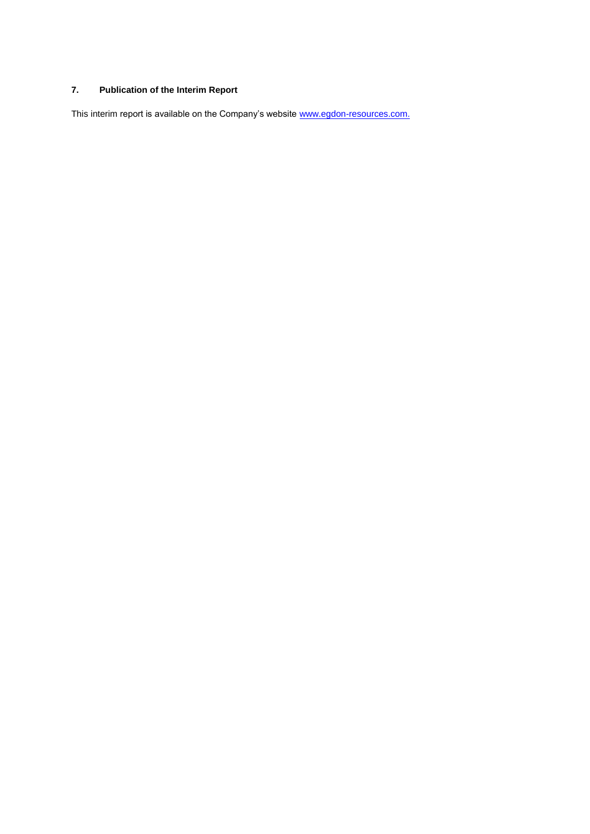# **7. Publication of the Interim Report**

This interim report is available on the Company's website [www.egdon-resources.com.](http://www.egdon-resources.com/)